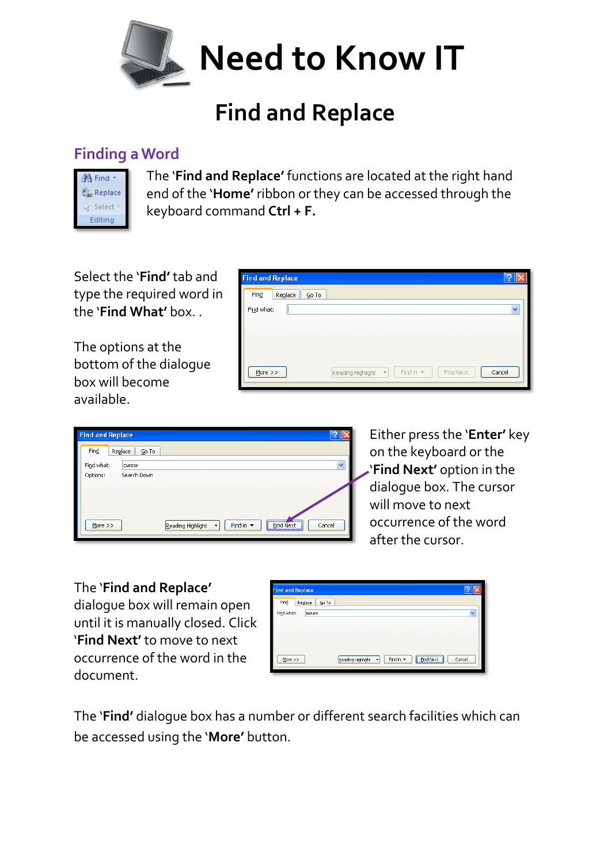

## **Find and Replace**

## **Finding a Word**



The '**Find and Replace'** functions are located at the right hand end of the '**Home'** ribbon or they can be accessed through the keyboard command **Ctrl + F.**

Select the '**Find'** tab and type the required word in the '**Find What'** box. .

The options at the bottom of the dialogue box will become available.

| <b>Find and Replace</b>    |                                                                                |   |
|----------------------------|--------------------------------------------------------------------------------|---|
| Find<br>Replace<br>$Go$ To |                                                                                |   |
| Find what:                 |                                                                                | v |
|                            |                                                                                |   |
|                            |                                                                                |   |
|                            |                                                                                |   |
| More $>>$                  | Cancel<br>Find in $\sqrt{}$<br>Find Next<br>Reading Highlight<br>$\bar{\rm v}$ |   |



Either press the '**Enter'** key on the keyboard or the '**Find Next'** option in the dialogue box. The cursor will move to next occurrence of the word after the cursor.

## The '**Find and Replace'**

dialogue box will remain open until it is manually closed. Click '**Find Next'** to move to next occurrence of the word in the document.

| <b>Find and Replace</b>  |                                                                                                 |
|--------------------------|-------------------------------------------------------------------------------------------------|
| Find<br>Replace<br>Go To |                                                                                                 |
| Find what:<br>mouse      | $\ddotmark$                                                                                     |
|                          |                                                                                                 |
|                          |                                                                                                 |
|                          |                                                                                                 |
| More                     | <b>Find Next</b><br>Cancel<br>Find in $\blacktriangledown$<br>Reading Highlight<br>$\mathbf{v}$ |
|                          |                                                                                                 |

The '**Find'** dialogue box has a number or different search facilities which can be accessed using the '**More'** button.